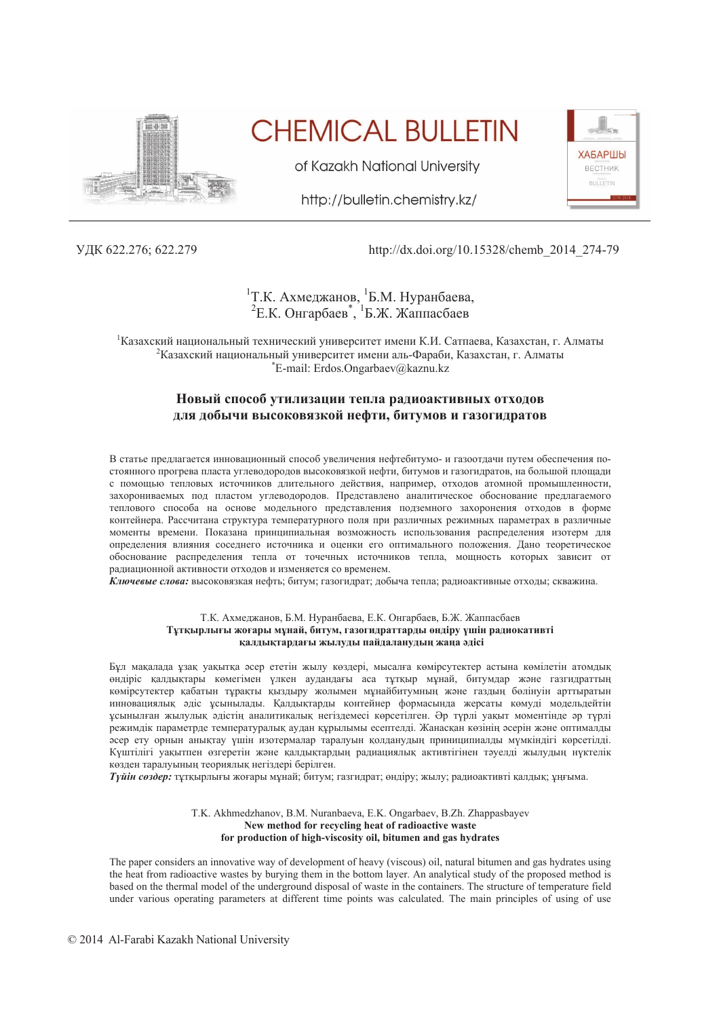

**CHEMICAL BULLETIN** 

of Kazakh National University

http://bulletin.chemistry.kz/

**ХАБАРШЫ** ВЕСТНИК **BULLETIN** 

## ɍȾɄ 622.276; 622.279 http://dx.doi.org/10.15328/chemb\_2014\_274-79

# <sup>1</sup>Т.К. Ахмеджанов, <sup>1</sup>Б.М. Нуранбаева, <sup>2</sup>Е.К. Онгарбаев<sup>\*</sup>, <sup>1</sup>Б.Ж. Жаппасбаев

<sup>1</sup> Казахский национальный технический университет имени К.И. Сатпаева, Казахстан, г. Алматы <sup>2</sup>Казахский национальный университет имени аль-Фараби, Казахстан, г. Алматы \*E-mail: Erdos.Ongarbaev@kaznu.kz

## Новый способ утилизации тепла радиоактивных отходов для добычи высоковязкой нефти, битумов и газогидратов

В статье предлагается инновационный способ увеличения нефтебитумо- и газоотлачи путем обеспечения постоянного прогрева пласта углеводородов высоковязкой нефти, битумов и газогидратов, на большой площади с помощью тепловых источников длительного действия, например, отходов атомной промышленности, захорониваемых под пластом углеводородов. Представлено аналитическое обоснование предлагаемого теплового способа на основе модельного представления подземного захоронения отходов в форме контейнера. Рассчитана структура температурного поля при различных режимных параметрах в различные моменты времени. Показана принципиальная возможность использования распределения изотерм для определения влияния соседнего источника и оценки его оптимального положения. Дано теоретическое обоснование распределения тепла от точечных источников тепла, мощность которых зависит от радиационной активности отходов и изменяется со временем.

Ключевые слова: высоковязкая нефть; битум; газогидрат; добыча тепла; радиоактивные отходы; скважина.

#### Т.К. Ахмеджанов, Б.М. Нуранбаева, Е.К. Онгарбаев, Б.Ж. Жаппасбаев **Tұтқырлығы жоғары мұнай, битум, газогидраттарды өндіру үшін радиокативті калдықтардағы жылуды пайдаланудың жаңа әдісі**

Бұл мақалада ұзақ уақытқа әсер ететін жылу көздері, мысалға көмірсутектер астына көмілетін атомдық өндіріс қалдықтары көмегімен үлкен аудандағы аса тұтқыр мұнай, битумдар және газгидраттың көмірсутектер қабатын тұрақты қыздыру жолымен мұнайбитумның және газдың бөлінуін арттыратын инновациялық әдіс ұсынылады. Қалдықтарды контейнер формасында жерсаты көмүді модельдейтін ұсынылған жылулық әдістің аналитикалық негіздемесі көрсетілген. Әр түрлі уақыт моментінде әр түрлі режимдік параметрде температуралық аудан құрылымы есептелді. Жанасқан көзінің әсерін және оптималды эсер ету орнын аныктау үшін изотермалар таралуын қолданудың приниципиалды мүмкіндігі көрсетілді. Күштілігі уақытпен өзгеретін және қалдықтардың радиациялық активтігінен тәуелді жылудың нүктелік көзден таралуынын теориялык негіздері берілген.

*Tүйін сөздер:* **туткырлығы жоғары мунай: битум: газгилрат: өнліру: жылу: ралиоактивті каллык: ұнғыма.** 

#### T.K. Akhmedzhanov, B.M. Nuranbaeva, E.K. Ongarbaev, B.Zh. Zhappasbayev New method for recycling heat of radioactive waste for production of high-viscosity oil, bitumen and gas hydrates

The paper considers an innovative way of development of heavy (viscous) oil, natural bitumen and gas hydrates using the heat from radioactive wastes by burying them in the bottom layer. An analytical study of the proposed method is based on the thermal model of the underground disposal of waste in the containers. The structure of temperature field under various operating parameters at different time points was calculated. The main principles of using of use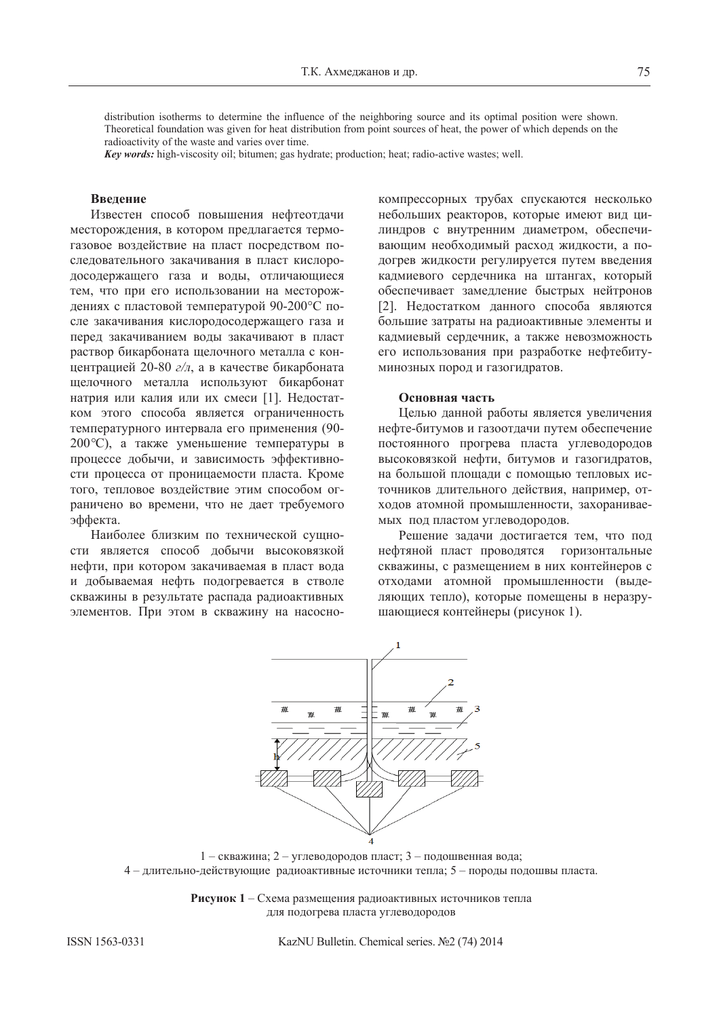distribution isotherms to determine the influence of the neighboring source and its optimal position were shown. Theoretical foundation was given for heat distribution from point sources of heat, the power of which depends on the radioactivity of the waste and varies over time.

*Key words*: high-viscosity oil; bitumen; gas hydrate; production; heat; radio-active wastes; well.

## **Ввеление**

Известен способ повышения нефтеотдачи месторождения, в котором предлагается термогазовое воздействие на пласт посредством последовательного закачивания в пласт кислородосодержащего газа и воды, отличающиеся тем, что при его использовании на месторождениях с пластовой температурой 90-200°С после закачивания кислородосодержащего газа и перед закачиванием воды закачивают в пласт раствор бикарбоната щелочного металла с концентрацией 20-80 г/л, а в качестве бикарбоната щелочного металла используют бикарбонат натрия или калия или их смеси [1]. Недостатком этого способа является ограниченность температурного интервала его применения (90-200 °С), а также уменьшение температуры в процессе добычи, и зависимость эффективности процесса от проницаемости пласта. Кроме того, тепловое воздействие этим способом ограничено во времени, что не дает требуемого эффекта.

Наиболее близким по технической сущности является способ добычи высоковязкой нефти, при котором закачиваемая в пласт вода и добываемая нефть подогревается в стволе скважины в результате распада радиоактивных элементов. При этом в скважину на насосно-

компрессорных трубах спускаются несколько небольших реакторов, которые имеют вид цилиндров с внутренним диаметром, обеспечивающим необходимый расход жидкости, а подогрев жидкости регулируется путем введения кадмиевого сердечника на штангах, который обеспечивает замедление быстрых нейтронов [2]. Недостатком данного способа являются большие затраты на радиоактивные элементы и кадмиевый сердечник, а также невозможность его использования при разработке нефтебитуминозных пород и газогидратов.

## Основная часть

Целью данной работы является увеличения нефте-битумов и газоотдачи путем обеспечение постоянного прогрева пласта углеводородов высоковязкой нефти, битумов и газогидратов, на большой площади с помощью тепловых источников длительного действия, например, отходов атомной промышленности, захораниваемых под пластом углеводородов.

Решение задачи достигается тем, что под нефтяной пласт проводятся горизонтальные скважины, с размещением в них контейнеров с отходами атомной промышленности (выделяющих тепло), которые помещены в неразрушающиеся контейнеры (рисунок 1).



1 – скважина; 2 – углеводородов пласт; 3 – подошвенная вода; 4 – длительно-действующие радиоактивные источники тепла; 5 – породы подошвы пласта.

Рисунок 1 – Схема размещения радиоактивных источников тепла для подогрева пласта углеводородов

ISSN 1563-0331 KazNU Bulletin. Chemical series. No. 2 (74) 2014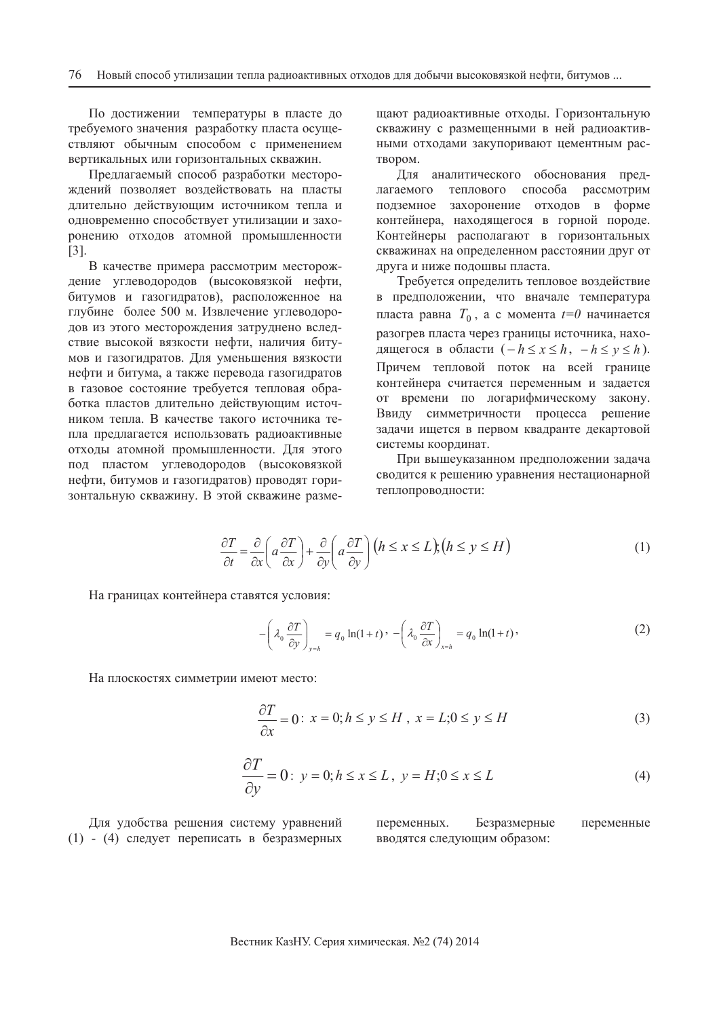По достижении температуры в пласте до требуемого значения разработку пласта осуществляют обычным способом с применением вертикальных или горизонтальных скважин.

Предлагаемый способ разработки месторождений позволяет воздействовать на пласты длительно действующим источником тепла и одновременно способствует утилизации и захоронению отходов атомной промышленности [3].

В качестве примера рассмотрим месторождение углеводородов (высоковязкой нефти, битумов и газогидратов), расположенное на глубине более 500 м. Извлечение углеводородов из этого месторождения затруднено вследствие высокой вязкости нефти, наличия битумов и газогидратов. Для уменьшения вязкости нефти и битума, а также перевода газогидратов в газовое состояние требуется тепловая обработка пластов длительно действующим источником тепла. В качестве такого источника тепла предлагается использовать радиоактивные отходы атомной промышленности. Для этого под пластом углеводородов (высоковязкой нефти, битумов и газогидратов) проводят горизонтальную скважину. В этой скважине размещают радиоактивные отходы. Горизонтальную скважину с размешенными в ней радиоактивными отходами закупоривают цементным рас-TBODOM.

Для аналитического обоснования предлагаемого теплового способа рассмотрим подземное захоронение отходов в форме контейнера, нахоляшегося в горной породе. Контейнеры располагают в горизонтальных скважинах на определенном расстоянии друг от друга и ниже подошвы пласта.

Требуется определить тепловое воздействие в предположении, что вначале температура пласта равна  $T_0$ , а с момента  $t=0$  начинается разогрев пласта через границы источника, находящегося в области  $(-h \le x \le h, -h \le y \le h)$ . Причем тепловой поток на всей границе контейнера считается переменным и задается от времени по логарифмическому закону. Ввиду симметричности процесса решение задачи ищется в первом квадранте декартовой системы координат.

При вышеуказанном предположении задача сводится к решению уравнения нестационарной теплопроводности:

$$
\frac{\partial T}{\partial t} = \frac{\partial}{\partial x} \left( a \frac{\partial T}{\partial x} \right) + \frac{\partial}{\partial y} \left( a \frac{\partial T}{\partial y} \right) \left( h \le x \le L \right); \left( h \le y \le H \right) \tag{1}
$$

На границах контейнера ставятся условия:

$$
-\left(\lambda_0 \frac{\partial T}{\partial y}\right)_{y=h} = q_0 \ln(1+t) \cdot -\left(\lambda_0 \frac{\partial T}{\partial x}\right)_{x=h} = q_0 \ln(1+t) \tag{2}
$$

На плоскостях симметрии имеют место:

$$
\frac{\partial T}{\partial x} = 0: x = 0; h \le y \le H, x = L; 0 \le y \le H
$$
\n(3)

$$
\frac{\partial T}{\partial y} = 0: y = 0; h \le x \le L, y = H; 0 \le x \le L
$$
\n(4)

Для удобства решения систему уравнений (1) - (4) следует переписать в безразмерных

переменных. Безразмерные переменные вводятся следующим образом: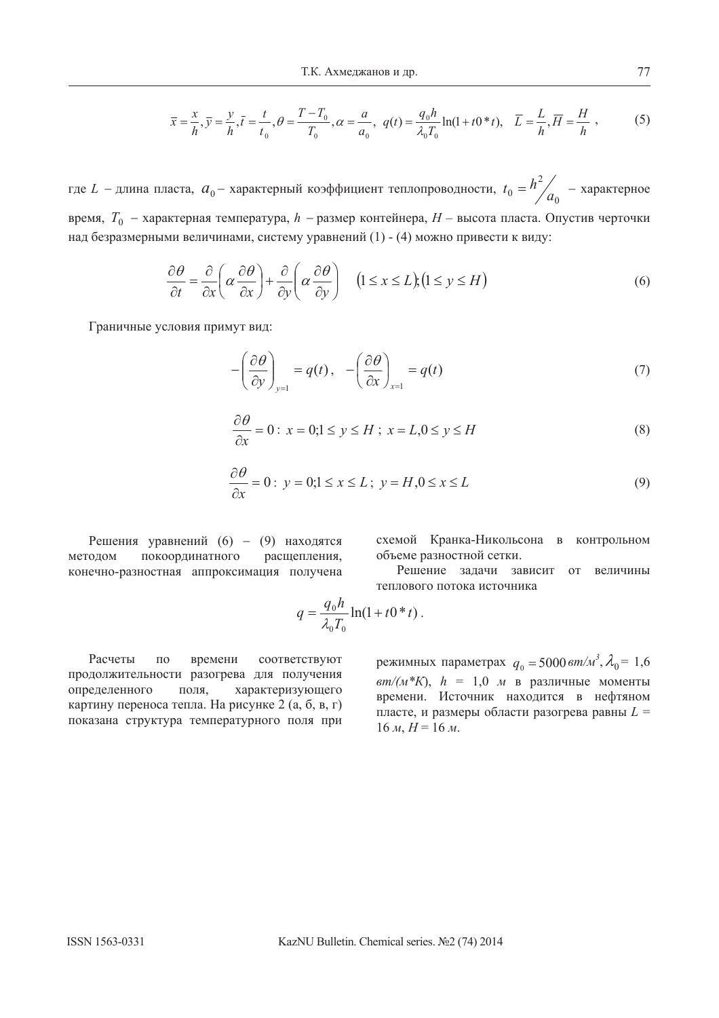$$
\overline{x} = \frac{x}{h}, \overline{y} = \frac{y}{h}, \overline{t} = \frac{t}{t_0}, \theta = \frac{T - T_0}{T_0}, \alpha = \frac{a}{a_0}, q(t) = \frac{q_0 h}{\lambda_0 T_0} \ln(1 + t_0 * t), \quad \overline{L} = \frac{L}{h}, \overline{H} = \frac{H}{h},
$$
(5)

где  $L$  – длина пласта,  $a_0$ – характерный коэффициент теплопроводности, 0 2  $t_0 = h^2 / a_0$  — характерное время,  $T_0$  - характерная температура,  $h$  - размер контейнера,  $H$  - высота пласта. Опустив черточки над безразмерными величинами, систему уравнений (1) - (4) можно привести к виду:

$$
\frac{\partial \theta}{\partial t} = \frac{\partial}{\partial x} \left( \alpha \frac{\partial \theta}{\partial x} \right) + \frac{\partial}{\partial y} \left( \alpha \frac{\partial \theta}{\partial y} \right) \quad (1 \le x \le L), (1 \le y \le H)
$$
\n(6)

Граничные условия примут вид:

$$
-\left(\frac{\partial\theta}{\partial y}\right)_{y=1} = q(t), \quad -\left(\frac{\partial\theta}{\partial x}\right)_{x=1} = q(t) \tag{7}
$$

$$
\frac{\partial \theta}{\partial x} = 0: x = 0; 1 \le y \le H; x = L, 0 \le y \le H
$$
\n(8)

$$
\frac{\partial \theta}{\partial x} = 0: y = 0; 1 \le x \le L; y = H, 0 \le x \le L
$$
\n(9)

Решения уравнений (6) - (9) находятся методом покоординатного расщепления, конечно-разностная аппроксимация получена схемой Кранка-Никольсона в контрольном объеме разностной сетки.

Решение задачи зависит от величины теплового потока источника

$$
q = \frac{q_0 h}{\lambda_0 T_0} \ln(1 + t0 * t).
$$

Расчеты по времени соответствуют продолжительности разогрева для получения определенного поля, характеризующего картину переноса тепла. На рисунке 2 (а, б, в, г) показана структура температурного поля при

режимных параметрах  $q_0 = 5000 \text{ cm/m}^3$ ,  $\lambda_0 = 1,6$  $\frac{am}{M*K}$ ,  $h = 1.0$  *M* в различные моменты времени. Источник находится в нефтяном пласте, и размеры области разогрева равны  $L =$  $16 \, M, H = 16 \, M.$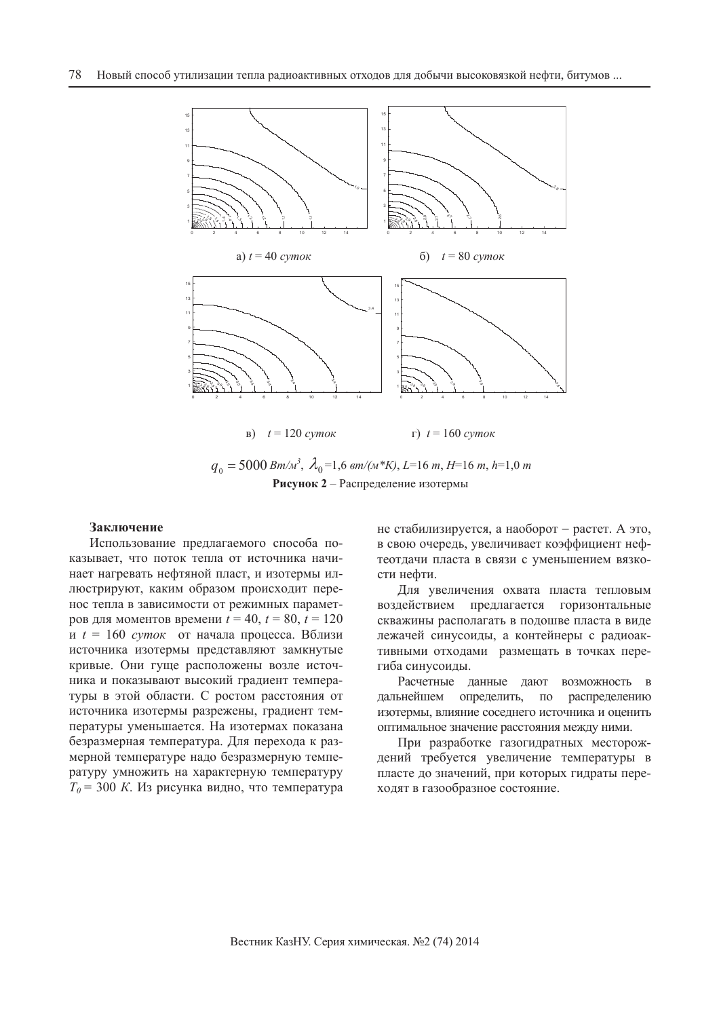

 $q_0 = 5000 Bm/M^3$ ,  $\lambda_0 = 1.6$   $\frac{am}{M*K}$ ,  $L = 16 m$ ,  $H = 16 m$ ,  $h = 1.0 m$ Рисунок 2 – Распределение изотермы

### Заключение

Использование предлагаемого способа показывает, что поток тепла от источника начинает нагревать нефтяной пласт, и изотермы иллюстрируют, каким образом происходит перенос тепла в зависимости от режимных парамет-<u>ров для моментов времени  $t = 40$ ,  $t = 80$ ,  $t = 120$ </u> *и*  $t = 160$  суток от начала процесса. Вблизи источника изотермы представляют замкнутые кривые. Они гуще расположены возле источника и показывают высокий градиент температуры в этой области. С ростом расстояния от источника изотермы разрежены, градиент температуры уменьшается. На изотермах показана безразмерная температура. Для перехода к размерной температуре надо безразмерную температуру умножить на характерную температуру  $T<sub>0</sub>$  = 300 *K*. Из рисунка видно, что температура не стабилизируется, а наоборот – растет. А это, в свою очередь, увеличивает коэффициент нефтеотдачи пласта в связи с уменьшением вязкости нефти.

Для увеличения охвата пласта тепловым воздействием предлагается горизонтальные скважины располагать в подошве пласта в виде лежачей синусоиды, а контейнеры с радиоактивными отходами размещать в точках перегиба синусоиды.

Расчетные данные дают возможность в дальнейшем определить, по распределению изотермы, влияние соседнего источника и оценить оптимальное значение расстояния между ними.

При разработке газогидратных месторождений требуется увеличение температуры в пласте до значений, при которых гидраты переходят в газообразное состояние.